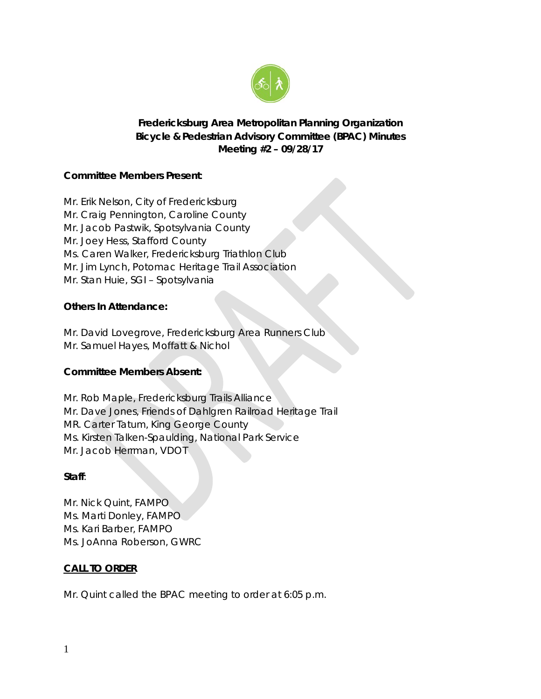

# **Fredericksburg Area Metropolitan Planning Organization Bicycle & Pedestrian Advisory Committee (BPAC) Minutes Meeting #2 – 09/28/17**

## **Committee Members Present**:

Mr. Erik Nelson, City of Fredericksburg Mr. Craig Pennington, Caroline County Mr. Jacob Pastwik, Spotsylvania County Mr. Joey Hess, Stafford County Ms. Caren Walker, Fredericksburg Triathlon Club Mr. Jim Lynch, Potomac Heritage Trail Association Mr. Stan Huie, SGI – Spotsylvania

## **Others In Attendance:**

Mr. David Lovegrove, Fredericksburg Area Runners Club Mr. Samuel Hayes, Moffatt & Nichol

## **Committee Members Absent:**

Mr. Rob Maple, Fredericksburg Trails Alliance Mr. Dave Jones, Friends of Dahlgren Railroad Heritage Trail MR. Carter Tatum, King George County Ms. Kirsten Talken-Spaulding, National Park Service Mr. Jacob Herrman, VDOT

### **Staff**:

Mr. Nick Quint, FAMPO Ms. Marti Donley, FAMPO Ms. Kari Barber, FAMPO Ms. JoAnna Roberson, GWRC

### **CALL TO ORDER**

Mr. Quint called the BPAC meeting to order at 6:05 p.m.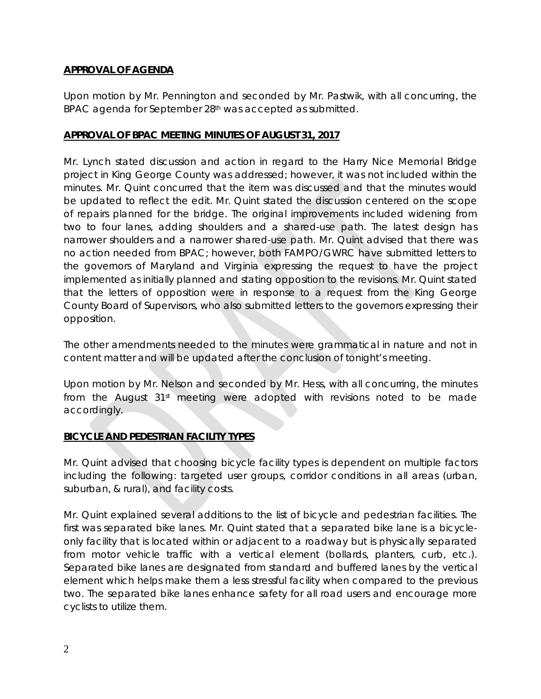## **APPROVAL OF AGENDA**

Upon motion by Mr. Pennington and seconded by Mr. Pastwik, with all concurring, the BPAC agenda for September 28th was accepted as submitted.

## **APPROVAL OF BPAC MEETING MINUTES OF AUGUST 31, 2017**

Mr. Lynch stated discussion and action in regard to the Harry Nice Memorial Bridge project in King George County was addressed; however, it was not included within the minutes. Mr. Quint concurred that the item was discussed and that the minutes would be updated to reflect the edit. Mr. Quint stated the discussion centered on the scope of repairs planned for the bridge. The original improvements included widening from two to four lanes, adding shoulders and a shared-use path. The latest design has narrower shoulders and a narrower shared-use path. Mr. Quint advised that there was no action needed from BPAC; however, both FAMPO/GWRC have submitted letters to the governors of Maryland and Virginia expressing the request to have the project implemented as initially planned and stating opposition to the revisions. Mr. Quint stated that the letters of opposition were in response to a request from the King George County Board of Supervisors, who also submitted letters to the governors expressing their opposition.

The other amendments needed to the minutes were grammatical in nature and not in content matter and will be updated after the conclusion of tonight's meeting.

Upon motion by Mr. Nelson and seconded by Mr. Hess, with all concurring, the minutes from the August  $31<sup>st</sup>$  meeting were adopted with revisions noted to be made accordingly.

# **BICYCLE AND PEDESTRIAN FACILITY TYPES**

Mr. Quint advised that choosing bicycle facility types is dependent on multiple factors including the following: targeted user groups, corridor conditions in all areas (urban, suburban, & rural), and facility costs.

Mr. Quint explained several additions to the list of bicycle and pedestrian facilities. The first was separated bike lanes. Mr. Quint stated that a separated bike lane is a bicycleonly facility that is located within or adjacent to a roadway but is physically separated from motor vehicle traffic with a vertical element (bollards, planters, curb, etc.). Separated bike lanes are designated from standard and buffered lanes by the vertical element which helps make them a less stressful facility when compared to the previous two. The separated bike lanes enhance safety for all road users and encourage more cyclists to utilize them.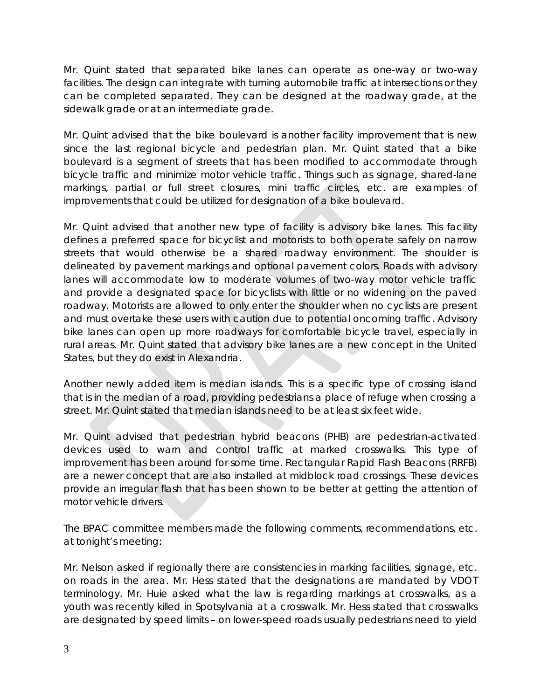Mr. Quint stated that separated bike lanes can operate as one-way or two-way facilities. The design can integrate with turning automobile traffic at intersections or they can be completed separated. They can be designed at the roadway grade, at the sidewalk grade or at an intermediate grade.

Mr. Quint advised that the bike boulevard is another facility improvement that is new since the last regional bicycle and pedestrian plan. Mr. Quint stated that a bike boulevard is a segment of streets that has been modified to accommodate through bicycle traffic and minimize motor vehicle traffic. Things such as signage, shared-lane markings, partial or full street closures, mini traffic circles, etc. are examples of improvements that could be utilized for designation of a bike boulevard.

Mr. Quint advised that another new type of facility is advisory bike lanes. This facility defines a preferred space for bicyclist and motorists to both operate safely on narrow streets that would otherwise be a shared roadway environment. The shoulder is delineated by pavement markings and optional pavement colors. Roads with advisory lanes will accommodate low to moderate volumes of two-way motor vehicle traffic and provide a designated space for bicyclists with little or no widening on the paved roadway. Motorists are allowed to only enter the shoulder when no cyclists are present and must overtake these users with caution due to potential oncoming traffic. Advisory bike lanes can open up more roadways for comfortable bicycle travel, especially in rural areas. Mr. Quint stated that advisory bike lanes are a new concept in the United States, but they do exist in Alexandria.

Another newly added item is median islands. This is a specific type of crossing island that is in the median of a road, providing pedestrians a place of refuge when crossing a street. Mr. Quint stated that median islands need to be at least six feet wide.

Mr. Quint advised that pedestrian hybrid beacons (PHB) are pedestrian-activated devices used to warn and control traffic at marked crosswalks. This type of improvement has been around for some time. Rectangular Rapid Flash Beacons (RRFB) are a newer concept that are also installed at midblock road crossings. These devices provide an irregular flash that has been shown to be better at getting the attention of motor vehicle drivers.

The BPAC committee members made the following comments, recommendations, etc. at tonight's meeting:

Mr. Nelson asked if regionally there are consistencies in marking facilities, signage, etc. on roads in the area. Mr. Hess stated that the designations are mandated by VDOT terminology. Mr. Huie asked what the law is regarding markings at crosswalks, as a youth was recently killed in Spotsylvania at a crosswalk. Mr. Hess stated that crosswalks are designated by speed limits – on lower-speed roads usually pedestrians need to yield